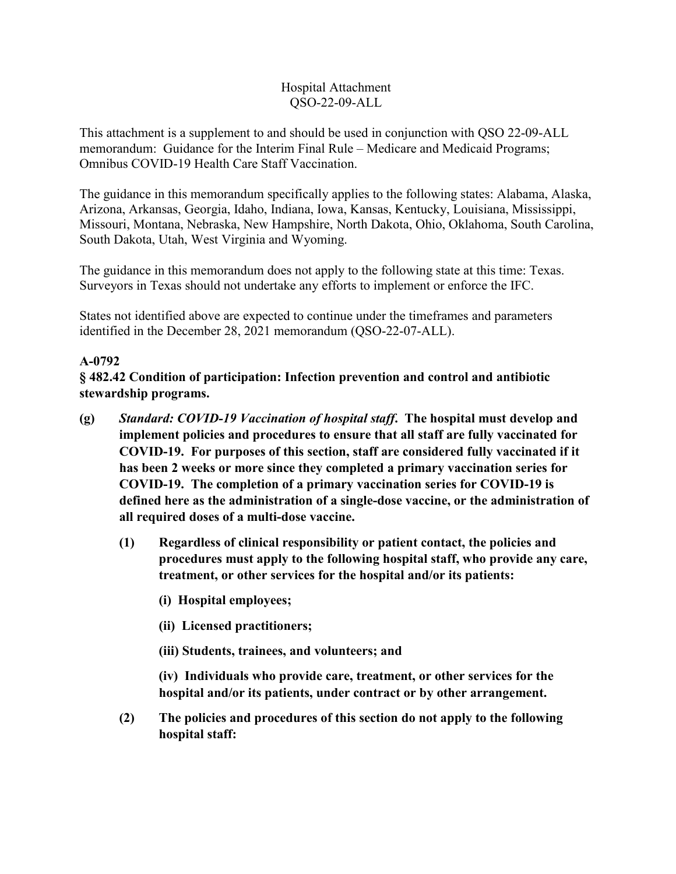#### Hospital Attachment QSO-22-09-ALL

This attachment is a supplement to and should be used in conjunction with QSO 22-09-ALL memorandum: Guidance for the Interim Final Rule – Medicare and Medicaid Programs; Omnibus COVID-19 Health Care Staff Vaccination.

The guidance in this memorandum specifically applies to the following states: Alabama, Alaska, Arizona, Arkansas, Georgia, Idaho, Indiana, Iowa, Kansas, Kentucky, Louisiana, Mississippi, Missouri, Montana, Nebraska, New Hampshire, North Dakota, Ohio, Oklahoma, South Carolina, South Dakota, Utah, West Virginia and Wyoming.

The guidance in this memorandum does not apply to the following state at this time: Texas. Surveyors in Texas should not undertake any efforts to implement or enforce the IFC.

States not identified above are expected to continue under the timeframes and parameters identified in the December 28, 2021 memorandum (QSO-22-07-ALL).

# **A-0792**

**§ 482.42 Condition of participation: Infection prevention and control and antibiotic stewardship programs.**

- **(g)** *Standard: COVID-19 Vaccination of hospital staff***. The hospital must develop and implement policies and procedures to ensure that all staff are fully vaccinated for COVID-19. For purposes of this section, staff are considered fully vaccinated if it has been 2 weeks or more since they completed a primary vaccination series for COVID-19. The completion of a primary vaccination series for COVID-19 is defined here as the administration of a single-dose vaccine, or the administration of all required doses of a multi-dose vaccine.** 
	- **(1) Regardless of clinical responsibility or patient contact, the policies and procedures must apply to the following hospital staff, who provide any care, treatment, or other services for the hospital and/or its patients:** 
		- **(i) Hospital employees;**
		- **(ii) Licensed practitioners;**
		- **(iii) Students, trainees, and volunteers; and**

**(iv) Individuals who provide care, treatment, or other services for the hospital and/or its patients, under contract or by other arrangement.**

**(2) The policies and procedures of this section do not apply to the following hospital staff:**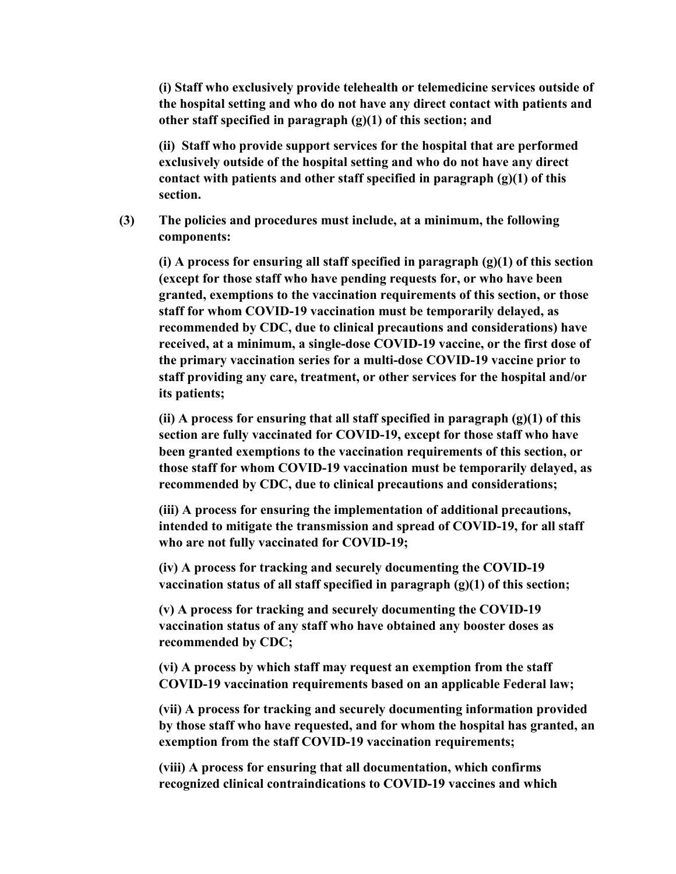**(i) Staff who exclusively provide telehealth or telemedicine services outside of the hospital setting and who do not have any direct contact with patients and other staff specified in paragraph (g)(1) of this section; and**

**(ii) Staff who provide support services for the hospital that are performed exclusively outside of the hospital setting and who do not have any direct contact with patients and other staff specified in paragraph (g)(1) of this section.**

**(3) The policies and procedures must include, at a minimum, the following components:**

**(i) A process for ensuring all staff specified in paragraph (g)(1) of this section (except for those staff who have pending requests for, or who have been granted, exemptions to the vaccination requirements of this section, or those staff for whom COVID-19 vaccination must be temporarily delayed, as recommended by CDC, due to clinical precautions and considerations) have received, at a minimum, a single-dose COVID-19 vaccine, or the first dose of the primary vaccination series for a multi-dose COVID-19 vaccine prior to staff providing any care, treatment, or other services for the hospital and/or its patients;**

**(ii) A process for ensuring that all staff specified in paragraph (g)(1) of this section are fully vaccinated for COVID-19, except for those staff who have been granted exemptions to the vaccination requirements of this section, or those staff for whom COVID-19 vaccination must be temporarily delayed, as recommended by CDC, due to clinical precautions and considerations;** 

**(iii) A process for ensuring the implementation of additional precautions, intended to mitigate the transmission and spread of COVID-19, for all staff who are not fully vaccinated for COVID-19;**

**(iv) A process for tracking and securely documenting the COVID-19 vaccination status of all staff specified in paragraph (g)(1) of this section;**

**(v) A process for tracking and securely documenting the COVID-19 vaccination status of any staff who have obtained any booster doses as recommended by CDC;** 

**(vi) A process by which staff may request an exemption from the staff COVID-19 vaccination requirements based on an applicable Federal law;** 

**(vii) A process for tracking and securely documenting information provided by those staff who have requested, and for whom the hospital has granted, an exemption from the staff COVID-19 vaccination requirements;**

**(viii) A process for ensuring that all documentation, which confirms recognized clinical contraindications to COVID-19 vaccines and which**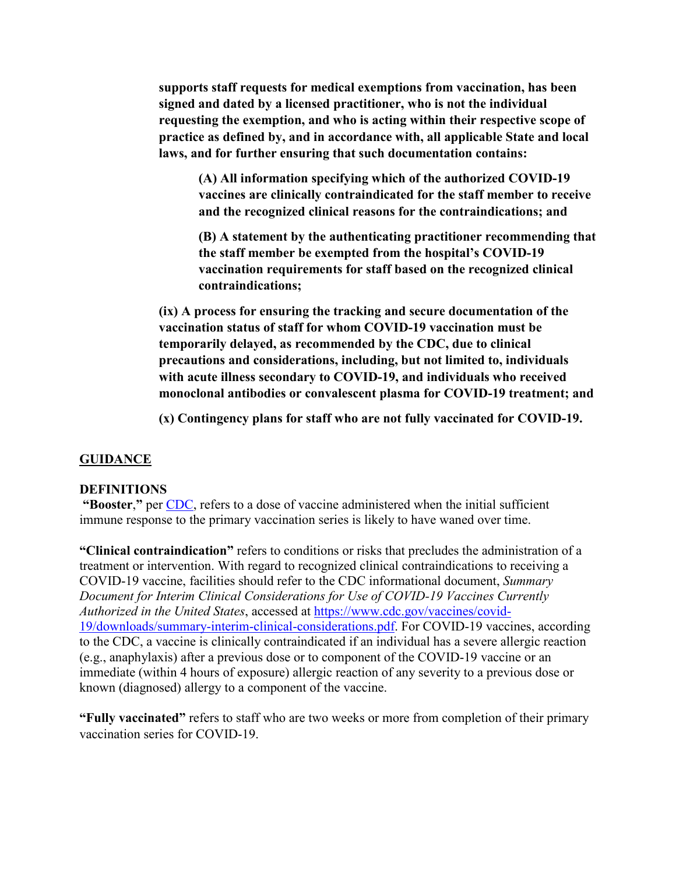**supports staff requests for medical exemptions from vaccination, has been signed and dated by a licensed practitioner, who is not the individual requesting the exemption, and who is acting within their respective scope of practice as defined by, and in accordance with, all applicable State and local laws, and for further ensuring that such documentation contains:** 

**(A) All information specifying which of the authorized COVID-19 vaccines are clinically contraindicated for the staff member to receive and the recognized clinical reasons for the contraindications; and** 

**(B) A statement by the authenticating practitioner recommending that the staff member be exempted from the hospital's COVID-19 vaccination requirements for staff based on the recognized clinical contraindications;**

**(ix) A process for ensuring the tracking and secure documentation of the vaccination status of staff for whom COVID-19 vaccination must be temporarily delayed, as recommended by the CDC, due to clinical precautions and considerations, including, but not limited to, individuals with acute illness secondary to COVID-19, and individuals who received monoclonal antibodies or convalescent plasma for COVID-19 treatment; and**

**(x) Contingency plans for staff who are not fully vaccinated for COVID-19.**

### **GUIDANCE**

#### **DEFINITIONS**

**"Booster**,**"** per CDC, refers to a dose of vaccine administered when the initial sufficient immune response to the primary vaccination series is likely to have waned over time.

**"Clinical contraindication"** refers to conditions or risks that precludes the administration of a treatment or intervention. With regard to recognized clinical contraindications to receiving a COVID-19 vaccine, facilities should refer to the CDC informational document, *Summary Document for Interim Clinical Considerations for Use of COVID-19 Vaccines Currently Authorized in the United States*, accessed at [https://www.cdc.gov/vaccines/covid-](https://www.cdc.gov/vaccines/covid-19/downloads/summary-interim-clinical-considerations.pdf)[19/downloads/summary-interim-clinical-considerations.pdf.](https://www.cdc.gov/vaccines/covid-19/downloads/summary-interim-clinical-considerations.pdf) For COVID-19 vaccines, according to the CDC, a vaccine is clinically contraindicated if an individual has a severe allergic reaction (e.g., anaphylaxis) after a previous dose or to component of the COVID-19 vaccine or an immediate (within 4 hours of exposure) allergic reaction of any severity to a previous dose or known (diagnosed) allergy to a component of the vaccine.

**"Fully vaccinated"** refers to staff who are two weeks or more from completion of their primary vaccination series for COVID-19.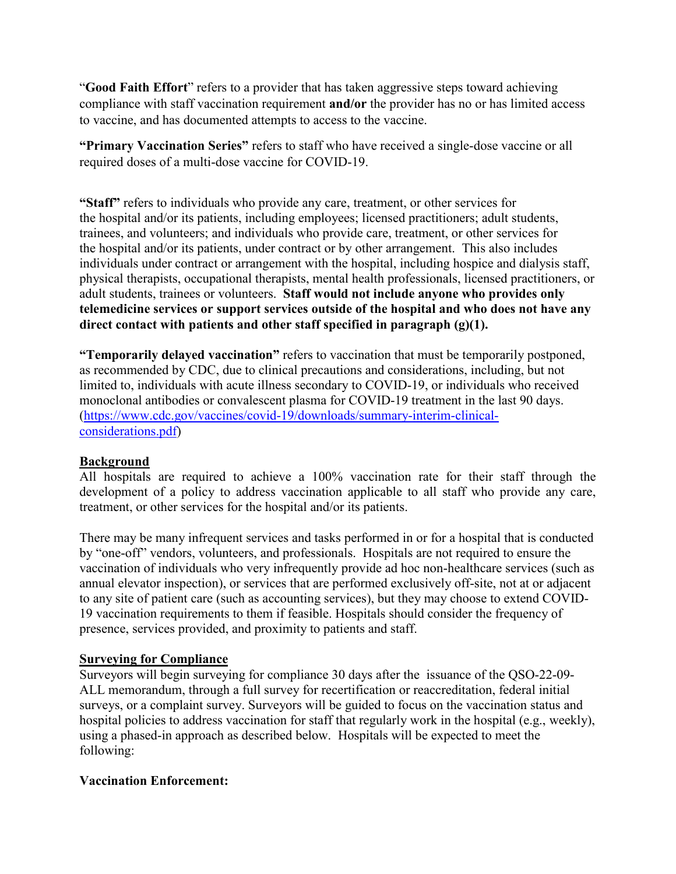"**Good Faith Effort**" refers to a provider that has taken aggressive steps toward achieving compliance with staff vaccination requirement **and/or** the provider has no or has limited access to vaccine, and has documented attempts to access to the vaccine.

**"Primary Vaccination Series"** refers to staff who have received a single-dose vaccine or all required doses of a multi-dose vaccine for COVID-19.

**"Staff"** refers to individuals who provide any care, treatment, or other services for the hospital and/or its patients, including employees; licensed practitioners; adult students, trainees, and volunteers; and individuals who provide care, treatment, or other services for the hospital and/or its patients, under contract or by other arrangement. This also includes individuals under contract or arrangement with the hospital, including hospice and dialysis staff, physical therapists, occupational therapists, mental health professionals, licensed practitioners, or adult students, trainees or volunteers. **Staff would not include anyone who provides only telemedicine services or support services outside of the hospital and who does not have any direct contact with patients and other staff specified in paragraph (g)(1).**

**"Temporarily delayed vaccination"** refers to vaccination that must be temporarily postponed, as recommended by CDC, due to clinical precautions and considerations, including, but not limited to, individuals with acute illness secondary to COVID-19, or individuals who received monoclonal antibodies or convalescent plasma for COVID-19 treatment in the last 90 days. (https://www.cdc.gov/vaccines/covid-19/downloads/summary-interim-clinicalconsiderations.pdf)

### **Background**

All hospitals are required to achieve a 100% vaccination rate for their staff through the development of a policy to address vaccination applicable to all staff who provide any care, treatment, or other services for the hospital and/or its patients.

There may be many infrequent services and tasks performed in or for a hospital that is conducted by "one-off" vendors, volunteers, and professionals. Hospitals are not required to ensure the vaccination of individuals who very infrequently provide ad hoc non-healthcare services (such as annual elevator inspection), or services that are performed exclusively off-site, not at or adjacent to any site of patient care (such as accounting services), but they may choose to extend COVID-19 vaccination requirements to them if feasible. Hospitals should consider the frequency of presence, services provided, and proximity to patients and staff.

#### **Surveying for Compliance**

Surveyors will begin surveying for compliance 30 days after the issuance of the QSO-22-09- ALL memorandum, through a full survey for recertification or reaccreditation, federal initial surveys, or a complaint survey. Surveyors will be guided to focus on the vaccination status and hospital policies to address vaccination for staff that regularly work in the hospital (e.g., weekly), using a phased-in approach as described below. Hospitals will be expected to meet the following:

### **Vaccination Enforcement:**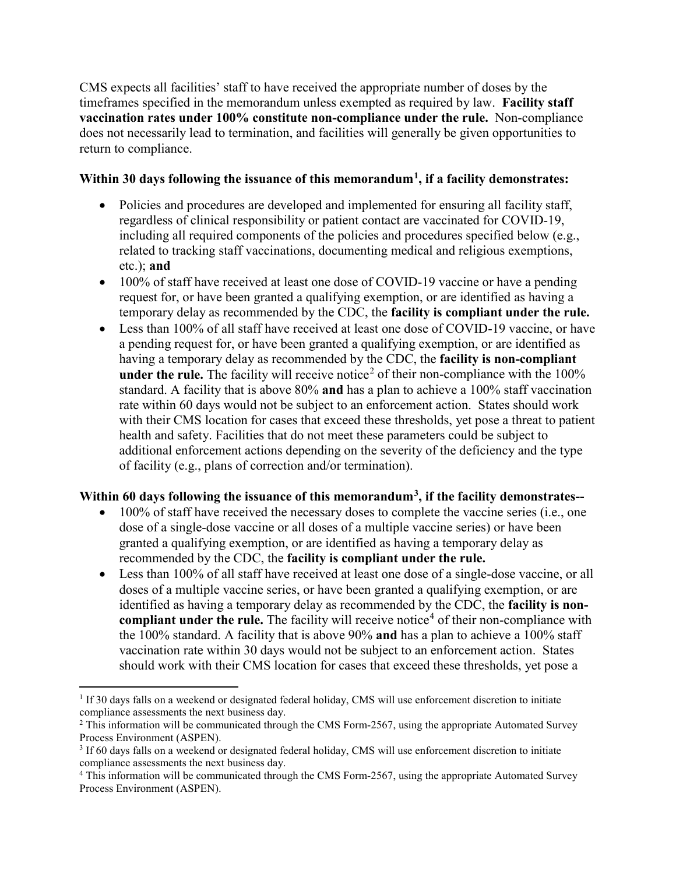CMS expects all facilities' staff to have received the appropriate number of doses by the timeframes specified in the memorandum unless exempted as required by law. **Facility staff vaccination rates under 100% constitute non-compliance under the rule.** Non-compliance does not necessarily lead to termination, and facilities will generally be given opportunities to return to compliance.

#### **Within 30 days following the issuance of this memorandum[1](#page-4-0), if a facility demonstrates:**

- Policies and procedures are developed and implemented for ensuring all facility staff, regardless of clinical responsibility or patient contact are vaccinated for COVID-19, including all required components of the policies and procedures specified below (e.g., related to tracking staff vaccinations, documenting medical and religious exemptions, etc.); **and**
- 100% of staff have received at least one dose of COVID-19 vaccine or have a pending request for, or have been granted a qualifying exemption, or are identified as having a temporary delay as recommended by the CDC, the **facility is compliant under the rule.**
- Less than 100% of all staff have received at least one dose of COVID-19 vaccine, or have a pending request for, or have been granted a qualifying exemption, or are identified as having a temporary delay as recommended by the CDC, the **facility is non-compliant under the rule.** The facility will receive notice<sup>[2](#page-4-1)</sup> of their non-compliance with the  $100\%$ standard. A facility that is above 80% **and** has a plan to achieve a 100% staff vaccination rate within 60 days would not be subject to an enforcement action. States should work with their CMS location for cases that exceed these thresholds, yet pose a threat to patient health and safety. Facilities that do not meet these parameters could be subject to additional enforcement actions depending on the severity of the deficiency and the type of facility (e.g., plans of correction and/or termination).

### **Within 60 days following the issuance of this memorandum[3](#page-4-2), if the facility demonstrates--**

- 100% of staff have received the necessary doses to complete the vaccine series (i.e., one dose of a single-dose vaccine or all doses of a multiple vaccine series) or have been granted a qualifying exemption, or are identified as having a temporary delay as recommended by the CDC, the **facility is compliant under the rule.**
- Less than 100% of all staff have received at least one dose of a single-dose vaccine, or all doses of a multiple vaccine series, or have been granted a qualifying exemption, or are identified as having a temporary delay as recommended by the CDC, the **facility is noncompliant under the rule.** The facility will receive notice<sup>[4](#page-4-3)</sup> of their non-compliance with the 100% standard. A facility that is above 90% **and** has a plan to achieve a 100% staff vaccination rate within 30 days would not be subject to an enforcement action. States should work with their CMS location for cases that exceed these thresholds, yet pose a

l

<span id="page-4-0"></span><sup>&</sup>lt;sup>1</sup> If 30 days falls on a weekend or designated federal holiday, CMS will use enforcement discretion to initiate compliance assessments the next business day.

<span id="page-4-1"></span> $2$  This information will be communicated through the CMS Form-2567, using the appropriate Automated Survey Process Environment (ASPEN).

<span id="page-4-2"></span><sup>3</sup> If 60 days falls on a weekend or designated federal holiday, CMS will use enforcement discretion to initiate compliance assessments the next business day.

<span id="page-4-3"></span><sup>4</sup> This information will be communicated through the CMS Form-2567, using the appropriate Automated Survey Process Environment (ASPEN).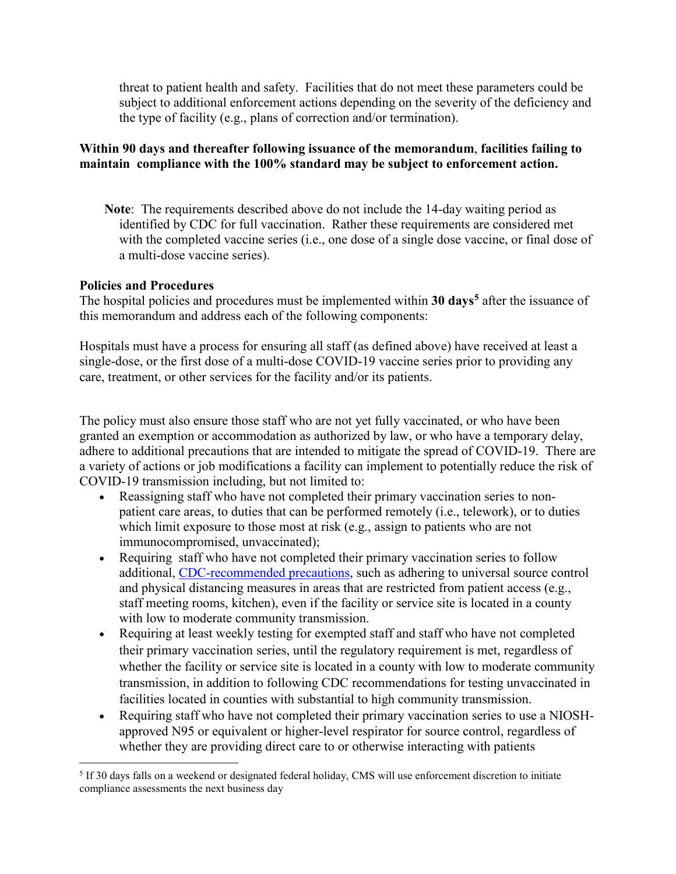threat to patient health and safety. Facilities that do not meet these parameters could be subject to additional enforcement actions depending on the severity of the deficiency and the type of facility (e.g., plans of correction and/or termination).

### **Within 90 days and thereafter following issuance of the memorandum**, **facilities failing to maintain compliance with the 100% standard may be subject to enforcement action.**

**Note**: The requirements described above do not include the 14-day waiting period as identified by CDC for full vaccination. Rather these requirements are considered met with the completed vaccine series (i.e., one dose of a single dose vaccine, or final dose of a multi-dose vaccine series).

#### **Policies and Procedures**

l

The hospital policies and procedures must be implemented within **30 days[5](#page-5-0)** after the issuance of this memorandum and address each of the following components:

Hospitals must have a process for ensuring all staff (as defined above) have received at least a single-dose, or the first dose of a multi-dose COVID-19 vaccine series prior to providing any care, treatment, or other services for the facility and/or its patients.

The policy must also ensure those staff who are not yet fully vaccinated, or who have been granted an exemption or accommodation as authorized by law, or who have a temporary delay, adhere to additional precautions that are intended to mitigate the spread of COVID-19. There are a variety of actions or job modifications a facility can implement to potentially reduce the risk of COVID-19 transmission including, but not limited to:

- Reassigning staff who have not completed their primary vaccination series to nonpatient care areas, to duties that can be performed remotely (i.e., telework), or to duties which limit exposure to those most at risk (e.g., assign to patients who are not immunocompromised, unvaccinated);
- Requiring staff who have not completed their primary vaccination series to follow additional, [CDC-recommended precautions,](https://www.cdc.gov/coronavirus/2019-ncov/hcp/infection-control-recommendations.html) such as adhering to universal source control and physical distancing measures in areas that are restricted from patient access (e.g., staff meeting rooms, kitchen), even if the facility or service site is located in a county with low to moderate community transmission.
- Requiring at least weekly testing for exempted staff and staff who have not completed their primary vaccination series, until the regulatory requirement is met, regardless of whether the facility or service site is located in a county with low to moderate community transmission, in addition to following CDC recommendations for testing unvaccinated in facilities located in counties with substantial to high community transmission.
- Requiring staff who have not completed their primary vaccination series to use a NIOSHapproved N95 or equivalent or higher-level respirator for source control, regardless of whether they are providing direct care to or otherwise interacting with patients

<span id="page-5-0"></span><sup>5</sup> If 30 days falls on a weekend or designated federal holiday, CMS will use enforcement discretion to initiate compliance assessments the next business day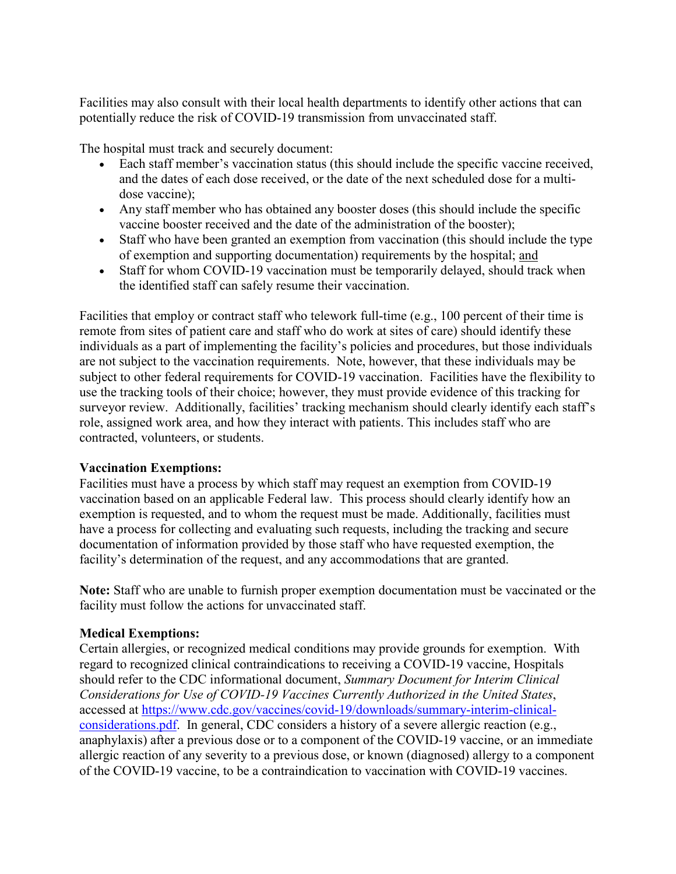Facilities may also consult with their local health departments to identify other actions that can potentially reduce the risk of COVID-19 transmission from unvaccinated staff.

The hospital must track and securely document:

- Each staff member's vaccination status (this should include the specific vaccine received, and the dates of each dose received, or the date of the next scheduled dose for a multidose vaccine);
- Any staff member who has obtained any booster doses (this should include the specific vaccine booster received and the date of the administration of the booster);
- Staff who have been granted an exemption from vaccination (this should include the type of exemption and supporting documentation) requirements by the hospital; and
- Staff for whom COVID-19 vaccination must be temporarily delayed, should track when the identified staff can safely resume their vaccination.

Facilities that employ or contract staff who telework full-time (e.g., 100 percent of their time is remote from sites of patient care and staff who do work at sites of care) should identify these individuals as a part of implementing the facility's policies and procedures, but those individuals are not subject to the vaccination requirements. Note, however, that these individuals may be subject to other federal requirements for COVID-19 vaccination. Facilities have the flexibility to use the tracking tools of their choice; however, they must provide evidence of this tracking for surveyor review. Additionally, facilities' tracking mechanism should clearly identify each staff's role, assigned work area, and how they interact with patients. This includes staff who are contracted, volunteers, or students.

### **Vaccination Exemptions:**

Facilities must have a process by which staff may request an exemption from COVID-19 vaccination based on an applicable Federal law. This process should clearly identify how an exemption is requested, and to whom the request must be made. Additionally, facilities must have a process for collecting and evaluating such requests, including the tracking and secure documentation of information provided by those staff who have requested exemption, the facility's determination of the request, and any accommodations that are granted.

**Note:** Staff who are unable to furnish proper exemption documentation must be vaccinated or the facility must follow the actions for unvaccinated staff.

# **Medical Exemptions:**

Certain allergies, or recognized medical conditions may provide grounds for exemption. With regard to recognized clinical contraindications to receiving a COVID-19 vaccine, Hospitals should refer to the CDC informational document, *Summary Document for Interim Clinical Considerations for Use of COVID-19 Vaccines Currently Authorized in the United States*, accessed at https://www.cdc.gov/vaccines/covid-19/downloads/summary-interim-clinicalconsiderations.pdf. In general, CDC considers a history of a severe allergic reaction (e.g., anaphylaxis) after a previous dose or to a component of the COVID-19 vaccine, or an immediate allergic reaction of any severity to a previous dose, or known (diagnosed) allergy to a component of the COVID-19 vaccine, to be a contraindication to vaccination with COVID-19 vaccines.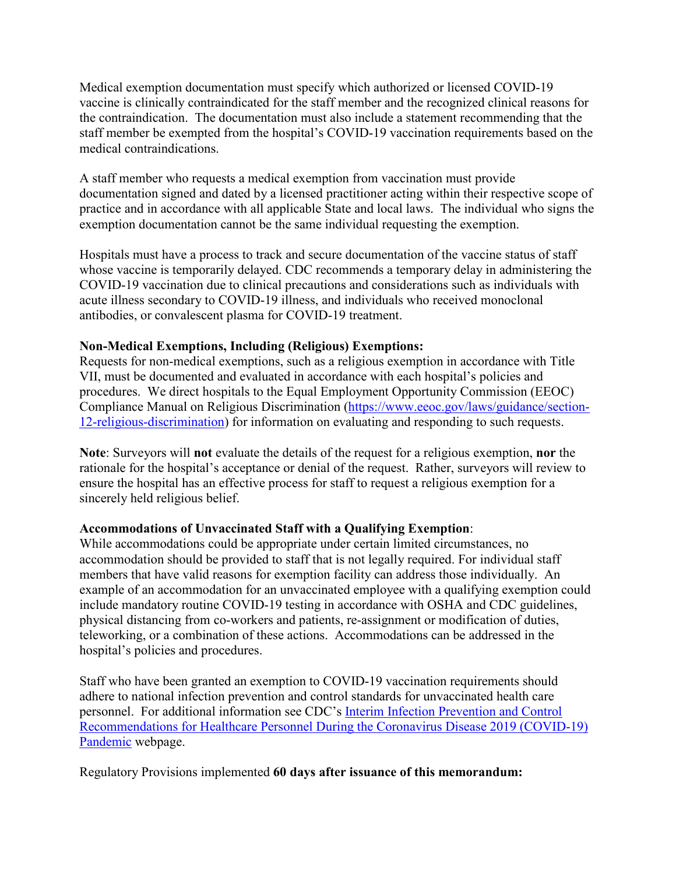Medical exemption documentation must specify which authorized or licensed COVID-19 vaccine is clinically contraindicated for the staff member and the recognized clinical reasons for the contraindication. The documentation must also include a statement recommending that the staff member be exempted from the hospital's COVID-19 vaccination requirements based on the medical contraindications.

A staff member who requests a medical exemption from vaccination must provide documentation signed and dated by a licensed practitioner acting within their respective scope of practice and in accordance with all applicable State and local laws. The individual who signs the exemption documentation cannot be the same individual requesting the exemption.

Hospitals must have a process to track and secure documentation of the vaccine status of staff whose vaccine is temporarily delayed. CDC recommends a temporary delay in administering the COVID-19 vaccination due to clinical precautions and considerations such as individuals with acute illness secondary to COVID-19 illness, and individuals who received monoclonal antibodies, or convalescent plasma for COVID-19 treatment.

### **Non-Medical Exemptions, Including (Religious) Exemptions:**

Requests for non-medical exemptions, such as a religious exemption in accordance with Title VII, must be documented and evaluated in accordance with each hospital's policies and procedures. We direct hospitals to the Equal Employment Opportunity Commission (EEOC) Compliance Manual on Religious Discrimination (https://www.eeoc.gov/laws/guidance/section-12-religious-discrimination) for information on evaluating and responding to such requests.

**Note**: Surveyors will **not** evaluate the details of the request for a religious exemption, **nor** the rationale for the hospital's acceptance or denial of the request. Rather, surveyors will review to ensure the hospital has an effective process for staff to request a religious exemption for a sincerely held religious belief.

### **Accommodations of Unvaccinated Staff with a Qualifying Exemption**:

While accommodations could be appropriate under certain limited circumstances, no accommodation should be provided to staff that is not legally required. For individual staff members that have valid reasons for exemption facility can address those individually. An example of an accommodation for an unvaccinated employee with a qualifying exemption could include mandatory routine COVID-19 testing in accordance with OSHA and CDC guidelines, physical distancing from co-workers and patients, re-assignment or modification of duties, teleworking, or a combination of these actions. Accommodations can be addressed in the hospital's policies and procedures.

Staff who have been granted an exemption to COVID-19 vaccination requirements should adhere to national infection prevention and control standards for unvaccinated health care personnel. For additional information see CDC's Interim Infection Prevention and Control Recommendations for Healthcare Personnel During the Coronavirus Disease 2019 (COVID-19) Pandemic webpage.

Regulatory Provisions implemented **60 days after issuance of this memorandum:**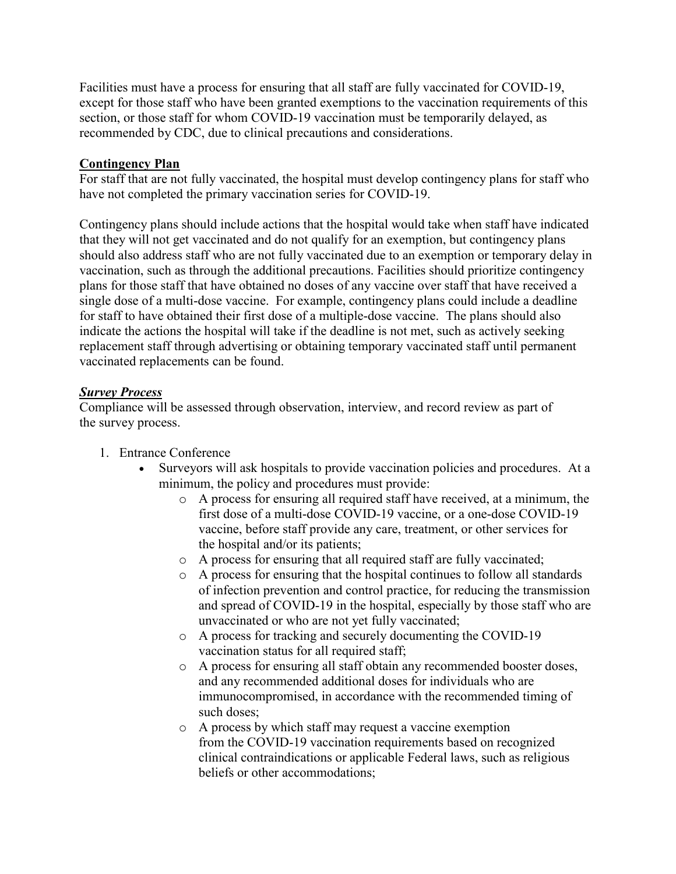Facilities must have a process for ensuring that all staff are fully vaccinated for COVID-19, except for those staff who have been granted exemptions to the vaccination requirements of this section, or those staff for whom COVID-19 vaccination must be temporarily delayed, as recommended by CDC, due to clinical precautions and considerations.

#### **Contingency Plan**

For staff that are not fully vaccinated, the hospital must develop contingency plans for staff who have not completed the primary vaccination series for COVID-19.

Contingency plans should include actions that the hospital would take when staff have indicated that they will not get vaccinated and do not qualify for an exemption, but contingency plans should also address staff who are not fully vaccinated due to an exemption or temporary delay in vaccination, such as through the additional precautions. Facilities should prioritize contingency plans for those staff that have obtained no doses of any vaccine over staff that have received a single dose of a multi-dose vaccine. For example, contingency plans could include a deadline for staff to have obtained their first dose of a multiple-dose vaccine. The plans should also indicate the actions the hospital will take if the deadline is not met, such as actively seeking replacement staff through advertising or obtaining temporary vaccinated staff until permanent vaccinated replacements can be found.

#### *Survey Process*

Compliance will be assessed through observation, interview, and record review as part of the survey process.

- 1. Entrance Conference
	- Surveyors will ask hospitals to provide vaccination policies and procedures. At a minimum, the policy and procedures must provide:
		- o A process for ensuring all required staff have received, at a minimum, the first dose of a multi-dose COVID-19 vaccine, or a one-dose COVID-19 vaccine, before staff provide any care, treatment, or other services for the hospital and/or its patients;
		- o A process for ensuring that all required staff are fully vaccinated;
		- o A process for ensuring that the hospital continues to follow all standards of infection prevention and control practice, for reducing the transmission and spread of COVID-19 in the hospital, especially by those staff who are unvaccinated or who are not yet fully vaccinated;
		- o A process for tracking and securely documenting the COVID-19 vaccination status for all required staff;
		- o A process for ensuring all staff obtain any recommended booster doses, and any recommended additional doses for individuals who are immunocompromised, in accordance with the recommended timing of such doses;
		- o A process by which staff may request a vaccine exemption from the COVID-19 vaccination requirements based on recognized clinical contraindications or applicable Federal laws, such as religious beliefs or other accommodations;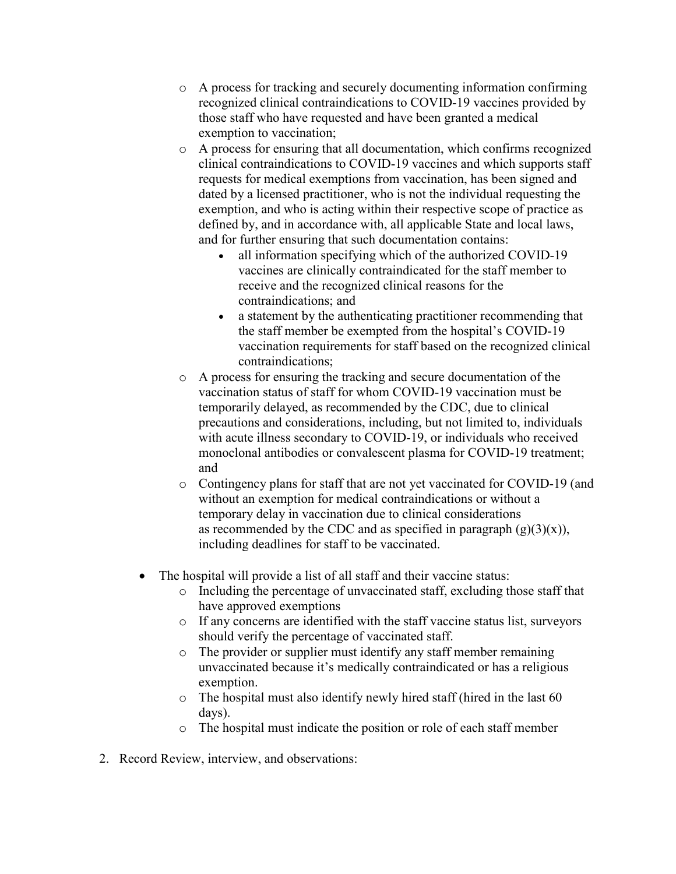- o A process for tracking and securely documenting information confirming recognized clinical contraindications to COVID-19 vaccines provided by those staff who have requested and have been granted a medical exemption to vaccination;
- o A process for ensuring that all documentation, which confirms recognized clinical contraindications to COVID-19 vaccines and which supports staff requests for medical exemptions from vaccination, has been signed and dated by a licensed practitioner, who is not the individual requesting the exemption, and who is acting within their respective scope of practice as defined by, and in accordance with, all applicable State and local laws, and for further ensuring that such documentation contains:
	- all information specifying which of the authorized COVID-19 vaccines are clinically contraindicated for the staff member to receive and the recognized clinical reasons for the contraindications; and
	- a statement by the authenticating practitioner recommending that the staff member be exempted from the hospital's COVID-19 vaccination requirements for staff based on the recognized clinical contraindications;
- o A process for ensuring the tracking and secure documentation of the vaccination status of staff for whom COVID-19 vaccination must be temporarily delayed, as recommended by the CDC, due to clinical precautions and considerations, including, but not limited to, individuals with acute illness secondary to COVID-19, or individuals who received monoclonal antibodies or convalescent plasma for COVID-19 treatment; and
- o Contingency plans for staff that are not yet vaccinated for COVID-19 (and without an exemption for medical contraindications or without a temporary delay in vaccination due to clinical considerations as recommended by the CDC and as specified in paragraph  $(g)(3)(x)$ , including deadlines for staff to be vaccinated.
- The hospital will provide a list of all staff and their vaccine status:
	- o Including the percentage of unvaccinated staff, excluding those staff that have approved exemptions
	- o If any concerns are identified with the staff vaccine status list, surveyors should verify the percentage of vaccinated staff.
	- o The provider or supplier must identify any staff member remaining unvaccinated because it's medically contraindicated or has a religious exemption.
	- o The hospital must also identify newly hired staff (hired in the last 60 days).
	- o The hospital must indicate the position or role of each staff member
- 2. Record Review, interview, and observations: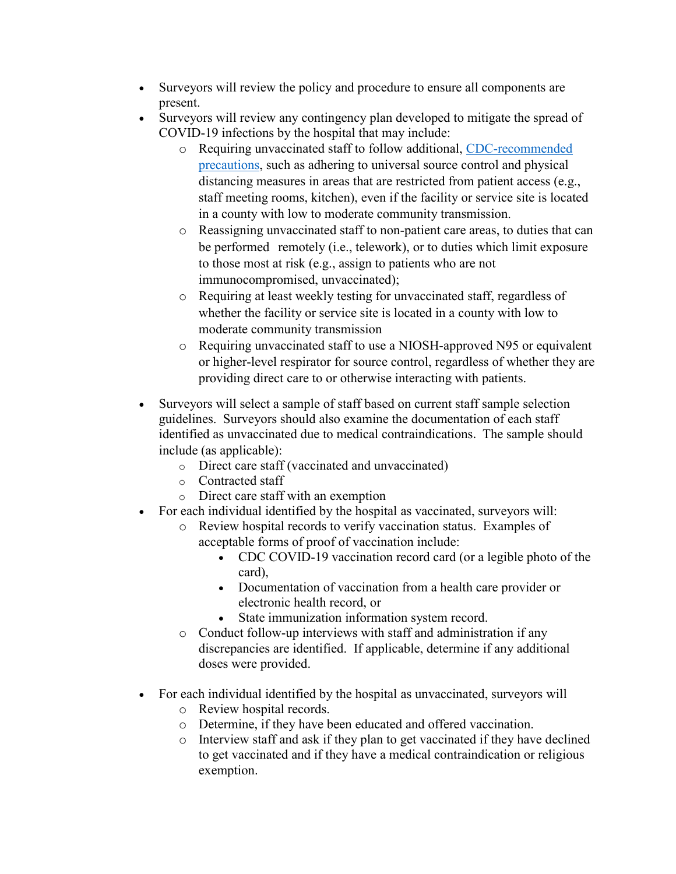- Surveyors will review the policy and procedure to ensure all components are present.
- Surveyors will review any contingency plan developed to mitigate the spread of COVID-19 infections by the hospital that may include:
	- o Requiring unvaccinated staff to follow additional, [CDC-recommended](https://www.cdc.gov/coronavirus/2019-ncov/hcp/infection-control-recommendations.html)  [precautions,](https://www.cdc.gov/coronavirus/2019-ncov/hcp/infection-control-recommendations.html) such as adhering to universal source control and physical distancing measures in areas that are restricted from patient access (e.g., staff meeting rooms, kitchen), even if the facility or service site is located in a county with low to moderate community transmission.
	- o Reassigning unvaccinated staff to non-patient care areas, to duties that can be performed remotely (i.e., telework), or to duties which limit exposure to those most at risk (e.g., assign to patients who are not immunocompromised, unvaccinated);
	- o Requiring at least weekly testing for unvaccinated staff, regardless of whether the facility or service site is located in a county with low to moderate community transmission
	- o Requiring unvaccinated staff to use a NIOSH-approved N95 or equivalent or higher-level respirator for source control, regardless of whether they are providing direct care to or otherwise interacting with patients.
- Surveyors will select a sample of staff based on current staff sample selection guidelines. Surveyors should also examine the documentation of each staff identified as unvaccinated due to medical contraindications. The sample should include (as applicable):
	- o Direct care staff (vaccinated and unvaccinated)
	- o Contracted staff
	- o Direct care staff with an exemption
- For each individual identified by the hospital as vaccinated, surveyors will:
	- o Review hospital records to verify vaccination status. Examples of acceptable forms of proof of vaccination include:
		- CDC COVID-19 vaccination record card (or a legible photo of the card),
		- Documentation of vaccination from a health care provider or electronic health record, or
		- State immunization information system record.
	- o Conduct follow-up interviews with staff and administration if any discrepancies are identified. If applicable, determine if any additional doses were provided.
- For each individual identified by the hospital as unvaccinated, surveyors will
	- o Review hospital records.
	- o Determine, if they have been educated and offered vaccination.
	- o Interview staff and ask if they plan to get vaccinated if they have declined to get vaccinated and if they have a medical contraindication or religious exemption.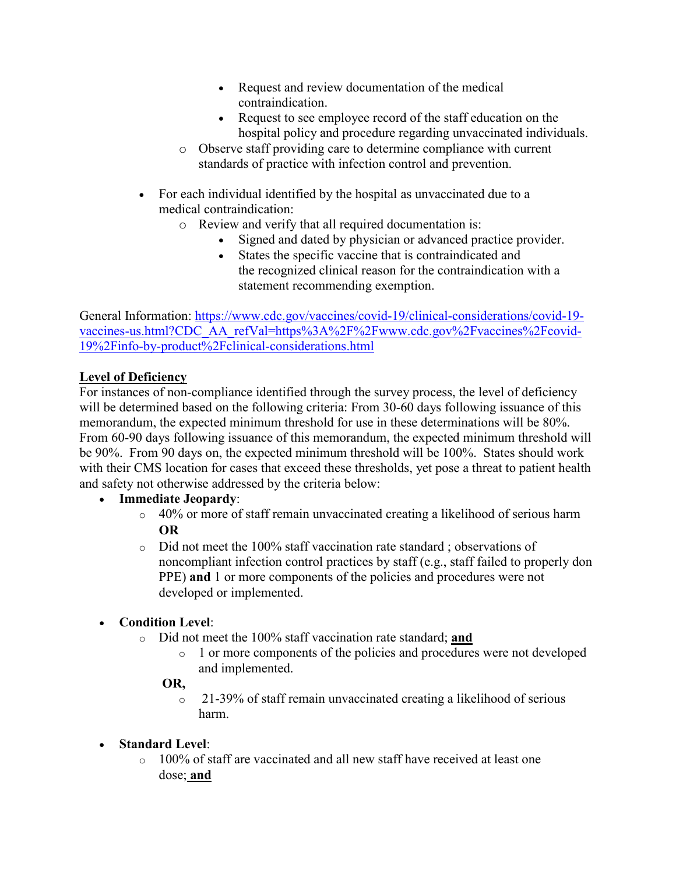- Request and review documentation of the medical contraindication.
- Request to see employee record of the staff education on the hospital policy and procedure regarding unvaccinated individuals.
- o Observe staff providing care to determine compliance with current standards of practice with infection control and prevention.
- For each individual identified by the hospital as unvaccinated due to a medical contraindication:
	- o Review and verify that all required documentation is:
		- Signed and dated by physician or advanced practice provider.
		- States the specific vaccine that is contraindicated and the recognized clinical reason for the contraindication with a statement recommending exemption.

General Information: [https://www.cdc.gov/vaccines/covid-19/clinical-considerations/covid-19](https://www.cdc.gov/vaccines/covid-19/clinical-considerations/covid-19-vaccines-us.html?CDC_AA_refVal=https%3A%2F%2Fwww.cdc.gov%2Fvaccines%2Fcovid-19%2Finfo-by-product%2Fclinical-considerations.html) [vaccines-us.html?CDC\\_AA\\_refVal=https%3A%2F%2Fwww.cdc.gov%2Fvaccines%2Fcovid-](https://www.cdc.gov/vaccines/covid-19/clinical-considerations/covid-19-vaccines-us.html?CDC_AA_refVal=https%3A%2F%2Fwww.cdc.gov%2Fvaccines%2Fcovid-19%2Finfo-by-product%2Fclinical-considerations.html)[19%2Finfo-by-product%2Fclinical-considerations.html](https://www.cdc.gov/vaccines/covid-19/clinical-considerations/covid-19-vaccines-us.html?CDC_AA_refVal=https%3A%2F%2Fwww.cdc.gov%2Fvaccines%2Fcovid-19%2Finfo-by-product%2Fclinical-considerations.html)

# **Level of Deficiency**

For instances of non-compliance identified through the survey process, the level of deficiency will be determined based on the following criteria: From 30-60 days following issuance of this memorandum, the expected minimum threshold for use in these determinations will be 80%. From 60-90 days following issuance of this memorandum, the expected minimum threshold will be 90%. From 90 days on, the expected minimum threshold will be 100%. States should work with their CMS location for cases that exceed these thresholds, yet pose a threat to patient health and safety not otherwise addressed by the criteria below:

# • **Immediate Jeopardy**:

- o 40% or more of staff remain unvaccinated creating a likelihood of serious harm **OR**
- o Did not meet the 100% staff vaccination rate standard ; observations of noncompliant infection control practices by staff (e.g., staff failed to properly don PPE) **and** 1 or more components of the policies and procedures were not developed or implemented.

# • **Condition Level**:

- o Did not meet the 100% staff vaccination rate standard; **and**
	- o 1 or more components of the policies and procedures were not developed and implemented.

# **OR,**

- o 21-39% of staff remain unvaccinated creating a likelihood of serious harm.
- **Standard Level**:
	- o 100% of staff are vaccinated and all new staff have received at least one dose; **and**